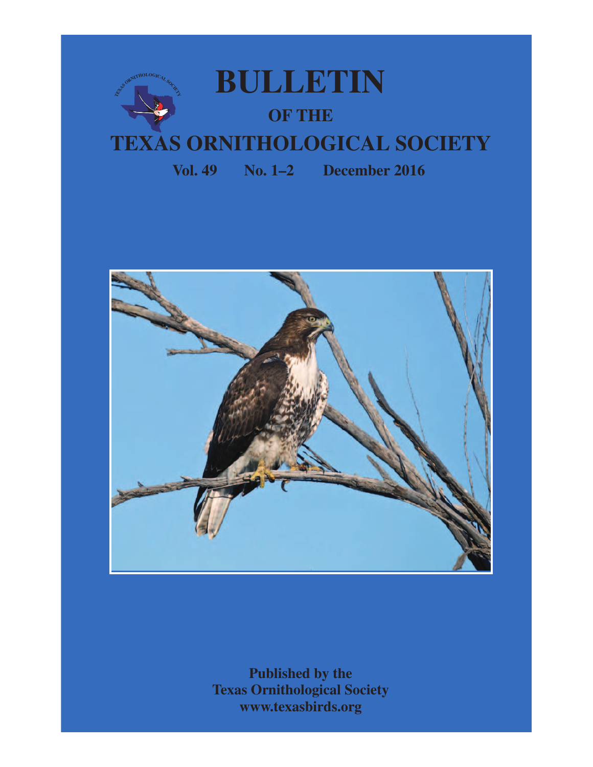

 **Vol. 49 No. 1–2 December 2016**



**Published by the Texas Ornithological Society www.texasbirds.org**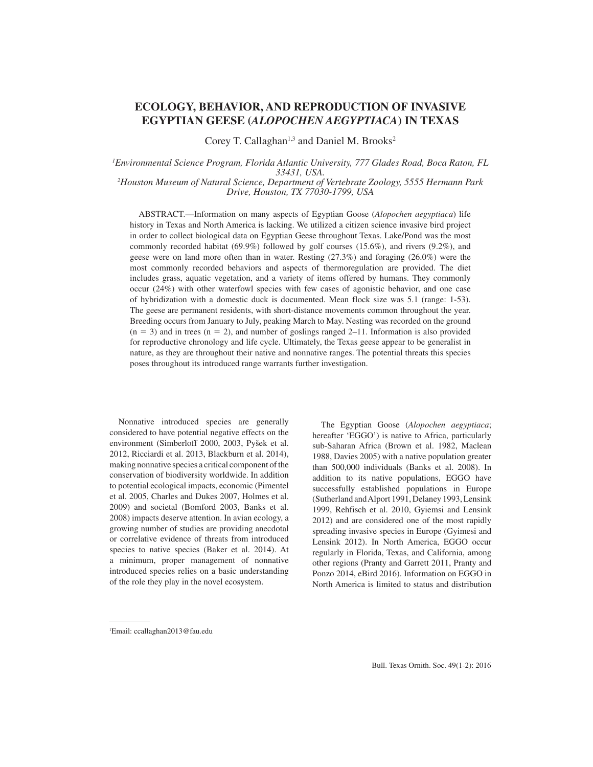# **ECOLOGY, BEHAVIOR, AND REPRODUCTION OF INVASIVE EGYPTIAN GEESE (***ALOPOCHEN AEGYPTIACA***) IN TEXAS**

Corey T. Callaghan<sup>1,3</sup> and Daniel M. Brooks<sup>2</sup>

# *<sup>1</sup>Environmental Science Program, Florida Atlantic University, 777 Glades Road, Boca Raton, FL 33431, USA. <sup>2</sup>Houston Museum of Natural Science, Department of Vertebrate Zoology, 5555 Hermann Park Drive, Houston, TX 77030-1799, USA*

ABSTRACT.—Information on many aspects of Egyptian Goose (*Alopochen aegyptiaca*) life history in Texas and North America is lacking. We utilized a citizen science invasive bird project in order to collect biological data on Egyptian Geese throughout Texas. Lake/Pond was the most commonly recorded habitat (69.9%) followed by golf courses (15.6%), and rivers (9.2%), and geese were on land more often than in water. Resting (27.3%) and foraging (26.0%) were the most commonly recorded behaviors and aspects of thermoregulation are provided. The diet includes grass, aquatic vegetation, and a variety of items offered by humans. They commonly occur (24%) with other waterfowl species with few cases of agonistic behavior, and one case of hybridization with a domestic duck is documented. Mean flock size was 5.1 (range: 1-53). The geese are permanent residents, with short-distance movements common throughout the year. Breeding occurs from January to July, peaking March to May. Nesting was recorded on the ground  $(n = 3)$  and in trees  $(n = 2)$ , and number of goslings ranged 2–11. Information is also provided for reproductive chronology and life cycle. Ultimately, the Texas geese appear to be generalist in nature, as they are throughout their native and nonnative ranges. The potential threats this species poses throughout its introduced range warrants further investigation.

Nonnative introduced species are generally considered to have potential negative effects on the environment (Simberloff 2000, 2003, Pyšek et al. 2012, Ricciardi et al. 2013, Blackburn et al. 2014), making nonnative species a critical component of the conservation of biodiversity worldwide. In addition to potential ecological impacts, economic (Pimentel et al. 2005, Charles and Dukes 2007, Holmes et al. 2009) and societal (Bomford 2003, Banks et al. 2008) impacts deserve attention. In avian ecology, a growing number of studies are providing anecdotal or correlative evidence of threats from introduced species to native species (Baker et al. 2014). At a minimum, proper management of nonnative introduced species relies on a basic understanding of the role they play in the novel ecosystem.

The Egyptian Goose (*Alopochen aegyptiaca*; hereafter 'EGGO') is native to Africa, particularly sub-Saharan Africa (Brown et al. 1982, Maclean 1988, Davies 2005) with a native population greater than 500,000 individuals (Banks et al. 2008). In addition to its native populations, EGGO have successfully established populations in Europe (Sutherland and Alport 1991, Delaney 1993, Lensink 1999, Rehfisch et al. 2010, Gyiemsi and Lensink 2012) and are considered one of the most rapidly spreading invasive species in Europe (Gyimesi and Lensink 2012). In North America, EGGO occur regularly in Florida, Texas, and California, among other regions (Pranty and Garrett 2011, Pranty and Ponzo 2014, eBird 2016). Information on EGGO in North America is limited to status and distribution

<sup>1</sup>Email: ccallaghan2013@fau.edu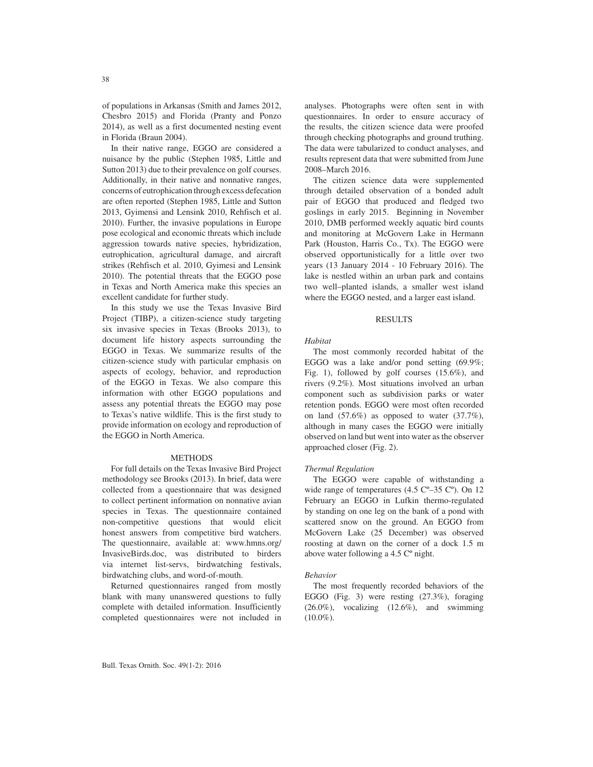of populations in Arkansas (Smith and James 2012, Chesbro 2015) and Florida (Pranty and Ponzo 2014), as well as a first documented nesting event in Florida (Braun 2004).

In their native range, EGGO are considered a nuisance by the public (Stephen 1985, Little and Sutton 2013) due to their prevalence on golf courses. Additionally, in their native and nonnative ranges, concerns of eutrophication through excess defecation are often reported (Stephen 1985, Little and Sutton 2013, Gyimensi and Lensink 2010, Rehfisch et al. 2010). Further, the invasive populations in Europe pose ecological and economic threats which include aggression towards native species, hybridization, eutrophication, agricultural damage, and aircraft strikes (Rehfisch et al. 2010, Gyimesi and Lensink 2010). The potential threats that the EGGO pose in Texas and North America make this species an excellent candidate for further study.

In this study we use the Texas Invasive Bird Project (TIBP), a citizen-science study targeting six invasive species in Texas (Brooks 2013), to document life history aspects surrounding the EGGO in Texas. We summarize results of the citizen-science study with particular emphasis on aspects of ecology, behavior, and reproduction of the EGGO in Texas. We also compare this information with other EGGO populations and assess any potential threats the EGGO may pose to Texas's native wildlife. This is the first study to provide information on ecology and reproduction of the EGGO in North America.

#### METHODS

For full details on the Texas Invasive Bird Project methodology see Brooks (2013). In brief, data were collected from a questionnaire that was designed to collect pertinent information on nonnative avian species in Texas. The questionnaire contained non-competitive questions that would elicit honest answers from competitive bird watchers. The questionnaire, available at: www.hmns.org/ InvasiveBirds.doc, was distributed to birders via internet list-servs, birdwatching festivals, birdwatching clubs, and word-of-mouth.

Returned questionnaires ranged from mostly blank with many unanswered questions to fully complete with detailed information. Insufficiently completed questionnaires were not included in analyses. Photographs were often sent in with questionnaires. In order to ensure accuracy of the results, the citizen science data were proofed through checking photographs and ground truthing. The data were tabularized to conduct analyses, and results represent data that were submitted from June 2008–March 2016.

The citizen science data were supplemented through detailed observation of a bonded adult pair of EGGO that produced and fledged two goslings in early 2015. Beginning in November 2010, DMB performed weekly aquatic bird counts and monitoring at McGovern Lake in Hermann Park (Houston, Harris Co., Tx). The EGGO were observed opportunistically for a little over two years (13 January 2014 - 10 February 2016). The lake is nestled within an urban park and contains two well–planted islands, a smaller west island where the EGGO nested, and a larger east island.

# RESULTS

# *Habitat*

The most commonly recorded habitat of the EGGO was a lake and/or pond setting (69.9%; Fig. 1), followed by golf courses (15.6%), and rivers (9.2%). Most situations involved an urban component such as subdivision parks or water retention ponds. EGGO were most often recorded on land (57.6%) as opposed to water (37.7%), although in many cases the EGGO were initially observed on land but went into water as the observer approached closer (Fig. 2).

# *Thermal Regulation*

The EGGO were capable of withstanding a wide range of temperatures (4.5 C°-35 C°). On 12 February an EGGO in Lufkin thermo-regulated by standing on one leg on the bank of a pond with scattered snow on the ground. An EGGO from McGovern Lake (25 December) was observed roosting at dawn on the corner of a dock 1.5 m above water following a 4.5 Cº night.

# *Behavior*

The most frequently recorded behaviors of the EGGO (Fig. 3) were resting (27.3%), foraging  $(26.0\%)$ , vocalizing  $(12.6\%)$ , and swimming  $(10.0\%).$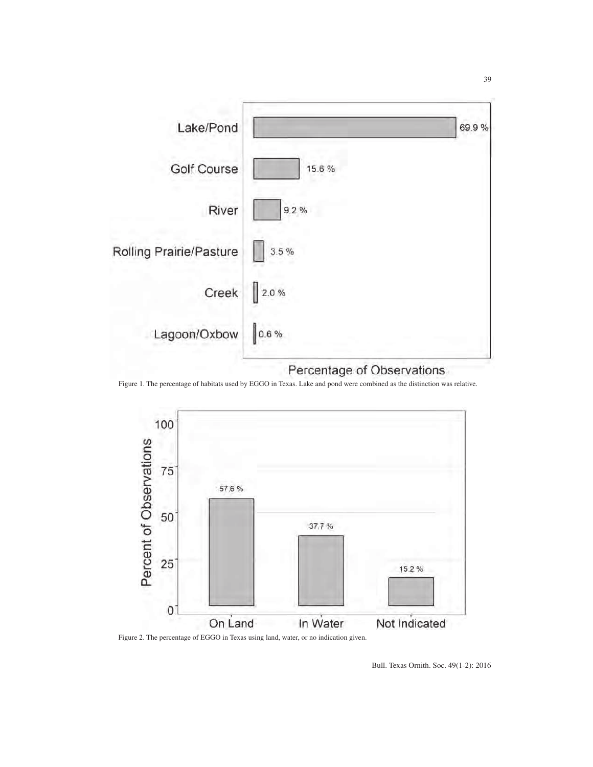

Figure 1. The percentage of habitats used by EGGO in Texas. Lake and pond were combined as the distinction was relative.



Figure 2. The percentage of EGGO in Texas using land, water, or no indication given.

Bull. Texas Ornith. Soc. 49(1-2): 2016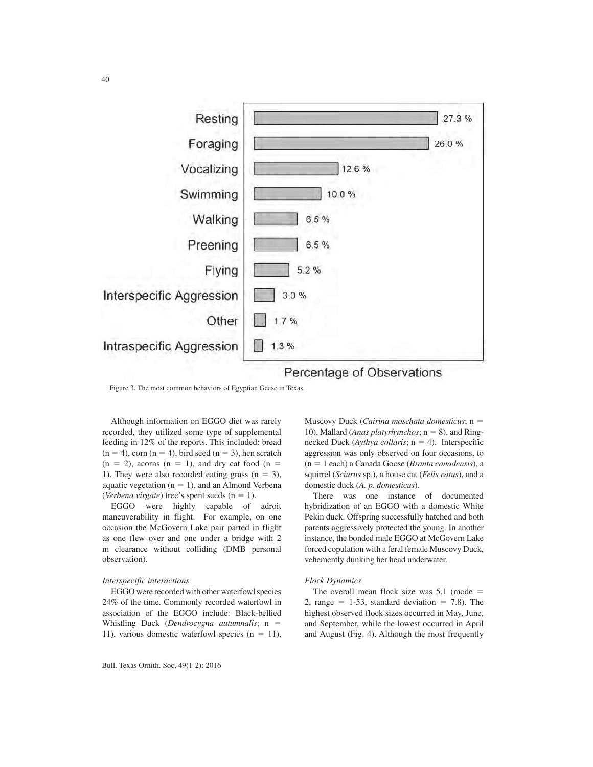

Percentage of Observations

Figure 3. The most common behaviors of Egyptian Geese in Texas.

Although information on EGGO diet was rarely recorded, they utilized some type of supplemental feeding in 12% of the reports. This included: bread  $(n = 4)$ , corn  $(n = 4)$ , bird seed  $(n = 3)$ , hen scratch  $(n = 2)$ , acorns  $(n = 1)$ , and dry cat food  $(n = 1)$ 1). They were also recorded eating grass  $(n = 3)$ , aquatic vegetation ( $n = 1$ ), and an Almond Verbena (*Verbena virgate*) tree's spent seeds  $(n = 1)$ .

EGGO were highly capable of adroit maneuverability in flight. For example, on one occasion the McGovern Lake pair parted in flight as one flew over and one under a bridge with 2 m clearance without colliding (DMB personal observation).

### *Interspecific interactions*

EGGO were recorded with other waterfowl species 24% of the time. Commonly recorded waterfowl in association of the EGGO include: Black-bellied Whistling Duck (*Dendrocygna autumnalis*;  $n =$ 11), various domestic waterfowl species  $(n = 11)$ , Muscovy Duck (*Cairina moschata domesticus*; n = 10), Mallard (*Anas platyrhynchos*;  $n = 8$ ), and Ringnecked Duck ( $Aythya$  *collaris*;  $n = 4$ ). Interspecific aggression was only observed on four occasions, to (n 5 1 each) a Canada Goose (*Branta canadensis*), a squirrel (*Sciurus* sp.), a house cat (*Felis catus*), and a domestic duck (*A. p. domesticus*).

There was one instance of documented hybridization of an EGGO with a domestic White Pekin duck. Offspring successfully hatched and both parents aggressively protected the young. In another instance, the bonded male EGGO at McGovern Lake forced copulation with a feral female Muscovy Duck, vehemently dunking her head underwater.

# *Flock Dynamics*

The overall mean flock size was  $5.1$  (mode = 2, range  $= 1-53$ , standard deviation  $= 7.8$ ). The highest observed flock sizes occurred in May, June, and September, while the lowest occurred in April and August (Fig. 4). Although the most frequently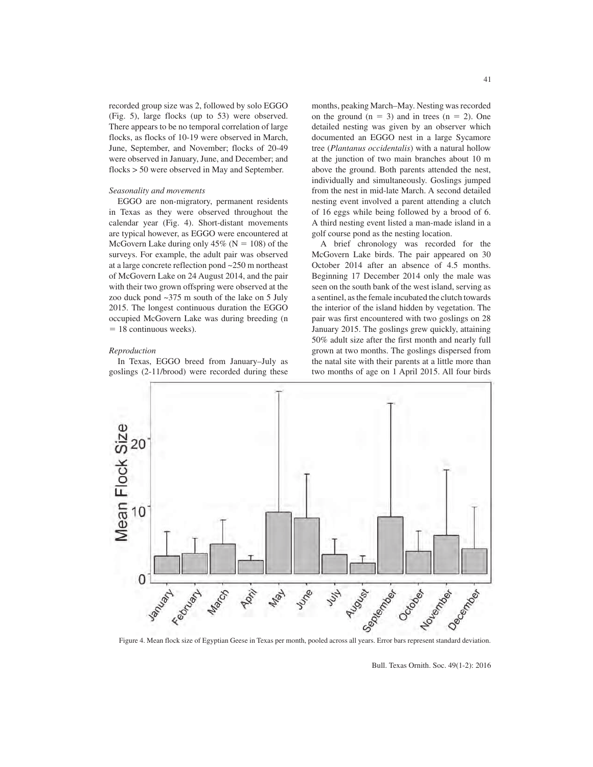recorded group size was 2, followed by solo EGGO (Fig. 5), large flocks (up to 53) were observed. There appears to be no temporal correlation of large flocks, as flocks of 10-19 were observed in March, June, September, and November; flocks of 20-49 were observed in January, June, and December; and flocks > 50 were observed in May and September.

# *Seasonality and movements*

EGGO are non-migratory, permanent residents in Texas as they were observed throughout the calendar year (Fig. 4). Short-distant movements are typical however, as EGGO were encountered at McGovern Lake during only  $45\%$  (N = 108) of the surveys. For example, the adult pair was observed at a large concrete reflection pond ~250 m northeast of McGovern Lake on 24 August 2014, and the pair with their two grown offspring were observed at the zoo duck pond ~375 m south of the lake on 5 July 2015. The longest continuous duration the EGGO occupied McGovern Lake was during breeding (n  $= 18$  continuous weeks).

#### *Reproduction*

In Texas, EGGO breed from January–July as goslings (2-11/brood) were recorded during these months, peaking March–May. Nesting was recorded on the ground  $(n = 3)$  and in trees  $(n = 2)$ . One detailed nesting was given by an observer which documented an EGGO nest in a large Sycamore tree (*Plantanus occidentalis*) with a natural hollow at the junction of two main branches about 10 m above the ground. Both parents attended the nest, individually and simultaneously. Goslings jumped from the nest in mid-late March. A second detailed nesting event involved a parent attending a clutch of 16 eggs while being followed by a brood of 6. A third nesting event listed a man-made island in a golf course pond as the nesting location.

A brief chronology was recorded for the McGovern Lake birds. The pair appeared on 30 October 2014 after an absence of 4.5 months. Beginning 17 December 2014 only the male was seen on the south bank of the west island, serving as a sentinel, as the female incubated the clutch towards the interior of the island hidden by vegetation. The pair was first encountered with two goslings on 28 January 2015. The goslings grew quickly, attaining 50% adult size after the first month and nearly full grown at two months. The goslings dispersed from the natal site with their parents at a little more than two months of age on 1 April 2015. All four birds



Bull. Texas Ornith. Soc. 49(1-2): 2016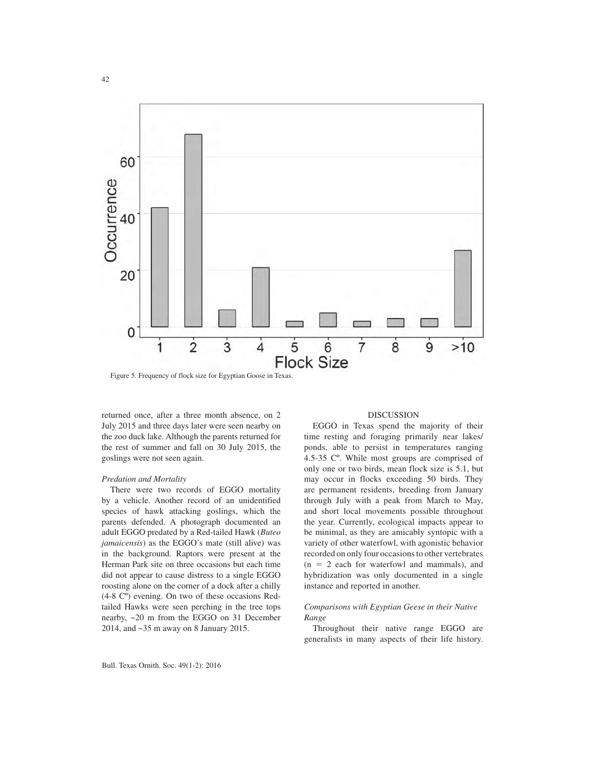

Figure 5. Frequency of flock size for Egyptian Goose in Texas.

returned once, after a three month absence, on 2 July 2015 and three days later were seen nearby on the zoo duck lake. Although the parents returned for the rest of summer and fall on 30 July 2015, the goslings were not seen again.

#### *Predation and Mortality*

There were two records of EGGO mortality by a vehicle. Another record of an unidentified species of hawk attacking goslings, which the parents defended. A photograph documented an adult EGGO predated by a Red-tailed Hawk (*Buteo jamaicensis*) as the EGGO's mate (still alive) was in the background. Raptors were present at the Herman Park site on three occasions but each time did not appear to cause distress to a single EGGO roosting alone on the corner of a dock after a chilly (4-8 Cº) evening. On two of these occasions Redtailed Hawks were seen perching in the tree tops nearby, ~20 m from the EGGO on 31 December 2014, and ~35 m away on 8 January 2015.

#### DISCUSSION

EGGO in Texas spend the majority of their time resting and foraging primarily near lakes/ ponds, able to persist in temperatures ranging 4.5-35 Cº. While most groups are comprised of only one or two birds, mean flock size is 5.1, but may occur in flocks exceeding 50 birds. They are permanent residents, breeding from January through July with a peak from March to May, and short local movements possible throughout the year. Currently, ecological impacts appear to be minimal, as they are amicably syntopic with a variety of other waterfowl, with agonistic behavior recorded on only four occasions to other vertebrates  $(n = 2$  each for waterfowl and mammals), and hybridization was only documented in a single instance and reported in another.

# *Comparisons with Egyptian Geese in their Native Range*

Throughout their native range EGGO are generalists in many aspects of their life history.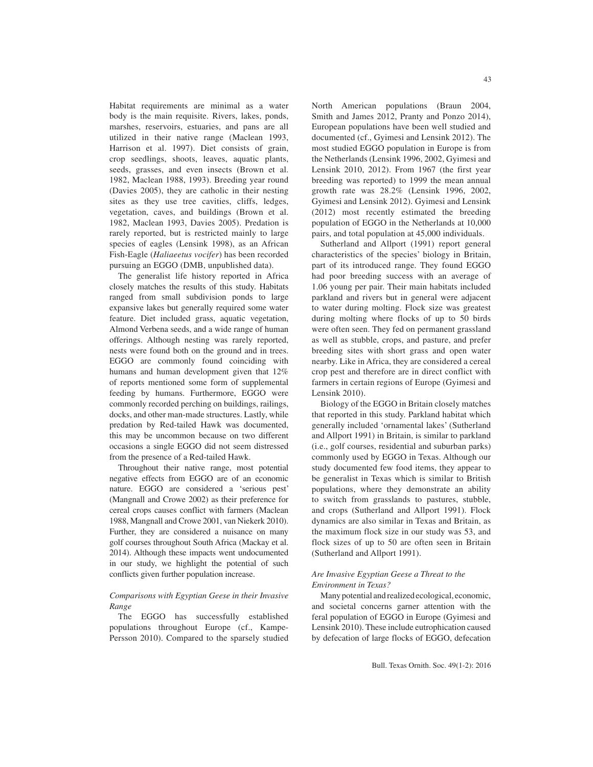Habitat requirements are minimal as a water body is the main requisite. Rivers, lakes, ponds, marshes, reservoirs, estuaries, and pans are all utilized in their native range (Maclean 1993, Harrison et al. 1997). Diet consists of grain, crop seedlings, shoots, leaves, aquatic plants, seeds, grasses, and even insects (Brown et al. 1982, Maclean 1988, 1993). Breeding year round (Davies 2005), they are catholic in their nesting sites as they use tree cavities, cliffs, ledges, vegetation, caves, and buildings (Brown et al. 1982, Maclean 1993, Davies 2005). Predation is rarely reported, but is restricted mainly to large species of eagles (Lensink 1998), as an African Fish-Eagle (*Haliaeetus vocifer*) has been recorded pursuing an EGGO (DMB, unpublished data).

The generalist life history reported in Africa closely matches the results of this study. Habitats ranged from small subdivision ponds to large expansive lakes but generally required some water feature. Diet included grass, aquatic vegetation, Almond Verbena seeds, and a wide range of human offerings. Although nesting was rarely reported, nests were found both on the ground and in trees. EGGO are commonly found coinciding with humans and human development given that 12% of reports mentioned some form of supplemental feeding by humans. Furthermore, EGGO were commonly recorded perching on buildings, railings, docks, and other man-made structures. Lastly, while predation by Red-tailed Hawk was documented, this may be uncommon because on two different occasions a single EGGO did not seem distressed from the presence of a Red-tailed Hawk.

Throughout their native range, most potential negative effects from EGGO are of an economic nature. EGGO are considered a 'serious pest' (Mangnall and Crowe 2002) as their preference for cereal crops causes conflict with farmers (Maclean 1988, Mangnall and Crowe 2001, van Niekerk 2010). Further, they are considered a nuisance on many golf courses throughout South Africa (Mackay et al. 2014). Although these impacts went undocumented in our study, we highlight the potential of such conflicts given further population increase.

# *Comparisons with Egyptian Geese in their Invasive Range*

The EGGO has successfully established populations throughout Europe (cf., Kampe-Persson 2010). Compared to the sparsely studied North American populations (Braun 2004, Smith and James 2012, Pranty and Ponzo 2014), European populations have been well studied and documented (cf., Gyimesi and Lensink 2012). The most studied EGGO population in Europe is from the Netherlands (Lensink 1996, 2002, Gyimesi and Lensink 2010, 2012). From 1967 (the first year breeding was reported) to 1999 the mean annual growth rate was 28.2% (Lensink 1996, 2002, Gyimesi and Lensink 2012). Gyimesi and Lensink (2012) most recently estimated the breeding population of EGGO in the Netherlands at 10,000 pairs, and total population at 45,000 individuals.

Sutherland and Allport (1991) report general characteristics of the species' biology in Britain, part of its introduced range. They found EGGO had poor breeding success with an average of 1.06 young per pair. Their main habitats included parkland and rivers but in general were adjacent to water during molting. Flock size was greatest during molting where flocks of up to 50 birds were often seen. They fed on permanent grassland as well as stubble, crops, and pasture, and prefer breeding sites with short grass and open water nearby. Like in Africa, they are considered a cereal crop pest and therefore are in direct conflict with farmers in certain regions of Europe (Gyimesi and Lensink 2010).

Biology of the EGGO in Britain closely matches that reported in this study. Parkland habitat which generally included 'ornamental lakes' (Sutherland and Allport 1991) in Britain, is similar to parkland (i.e., golf courses, residential and suburban parks) commonly used by EGGO in Texas. Although our study documented few food items, they appear to be generalist in Texas which is similar to British populations, where they demonstrate an ability to switch from grasslands to pastures, stubble, and crops (Sutherland and Allport 1991). Flock dynamics are also similar in Texas and Britain, as the maximum flock size in our study was 53, and flock sizes of up to 50 are often seen in Britain (Sutherland and Allport 1991).

# *Are Invasive Egyptian Geese a Threat to the Environment in Texas?*

Many potential and realized ecological, economic, and societal concerns garner attention with the feral population of EGGO in Europe (Gyimesi and Lensink 2010). These include eutrophication caused by defecation of large flocks of EGGO, defecation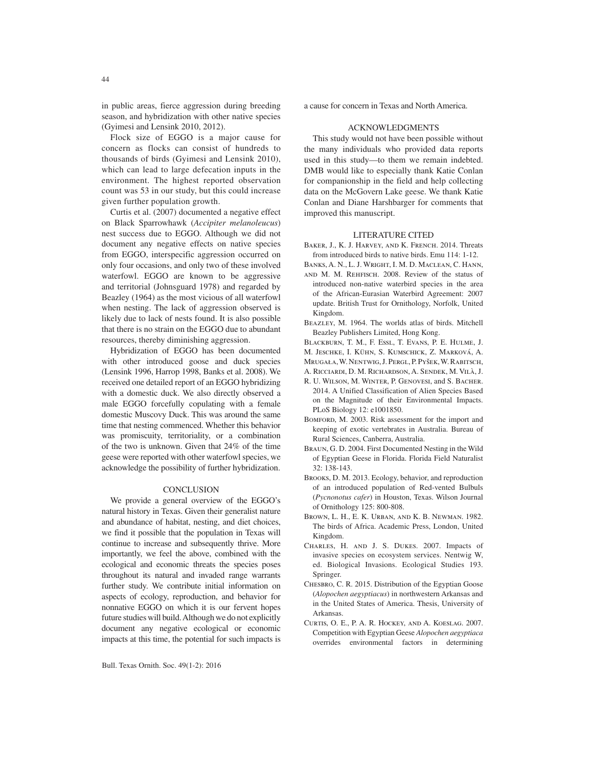in public areas, fierce aggression during breeding season, and hybridization with other native species (Gyimesi and Lensink 2010, 2012).

Flock size of EGGO is a major cause for concern as flocks can consist of hundreds to thousands of birds (Gyimesi and Lensink 2010), which can lead to large defecation inputs in the environment. The highest reported observation count was 53 in our study, but this could increase given further population growth.

Curtis et al. (2007) documented a negative effect on Black Sparrowhawk (*Accipiter melanoleucus*) nest success due to EGGO. Although we did not document any negative effects on native species from EGGO, interspecific aggression occurred on only four occasions, and only two of these involved waterfowl. EGGO are known to be aggressive and territorial (Johnsguard 1978) and regarded by Beazley (1964) as the most vicious of all waterfowl when nesting. The lack of aggression observed is likely due to lack of nests found. It is also possible that there is no strain on the EGGO due to abundant resources, thereby diminishing aggression.

Hybridization of EGGO has been documented with other introduced goose and duck species (Lensink 1996, Harrop 1998, Banks et al. 2008). We received one detailed report of an EGGO hybridizing with a domestic duck. We also directly observed a male EGGO forcefully copulating with a female domestic Muscovy Duck. This was around the same time that nesting commenced. Whether this behavior was promiscuity, territoriality, or a combination of the two is unknown. Given that 24% of the time geese were reported with other waterfowl species, we acknowledge the possibility of further hybridization.

#### **CONCLUSION**

We provide a general overview of the EGGO's natural history in Texas. Given their generalist nature and abundance of habitat, nesting, and diet choices, we find it possible that the population in Texas will continue to increase and subsequently thrive. More importantly, we feel the above, combined with the ecological and economic threats the species poses throughout its natural and invaded range warrants further study. We contribute initial information on aspects of ecology, reproduction, and behavior for nonnative EGGO on which it is our fervent hopes future studies will build. Although we do not explicitly document any negative ecological or economic impacts at this time, the potential for such impacts is a cause for concern in Texas and North America.

#### ACKNOWLEDGMENTS

This study would not have been possible without the many individuals who provided data reports used in this study—to them we remain indebted. DMB would like to especially thank Katie Conlan for companionship in the field and help collecting data on the McGovern Lake geese. We thank Katie Conlan and Diane Harshbarger for comments that improved this manuscript.

### LITERATURE CITED

- BAKER, J., K. J. HARVEY, AND K. FRENCH. 2014. Threats from introduced birds to native birds. Emu 114: 1-12. Banks, A. N., L. J. Wright, I. M. D. Maclean, C. Hann,
- and M. M. Rehfisch. 2008. Review of the status of introduced non-native waterbird species in the area of the African-Eurasian Waterbird Agreement: 2007 update. British Trust for Ornithology, Norfolk, United Kingdom.
- Beazley, M. 1964. The worlds atlas of birds. Mitchell Beazley Publishers Limited, Hong Kong.
- Blackburn, T. M., F. Essl, T. Evans, P. E. Hulme, J.
- M. Jeschke, I. Kühn, S. Kumschick, Z. Marková, A.
- Mrugała, W. Nentwig, J. Pergl, P. Pyšek, W. Rabitsch,
- A. Ricciardi, D. M. Richardson, A. Sendek, M. Vilà, J.
- R. U. Wilson, M. Winter, P. Genovesi, and S. Bacher. 2014. A Unified Classification of Alien Species Based on the Magnitude of their Environmental Impacts. PLoS Biology 12: e1001850.
- BOMFORD, M. 2003. Risk assessment for the import and keeping of exotic vertebrates in Australia. Bureau of Rural Sciences, Canberra, Australia.
- Braun, G. D. 2004. First Documented Nesting in the Wild of Egyptian Geese in Florida. Florida Field Naturalist 32: 138-143.
- Brooks, D. M. 2013. Ecology, behavior, and reproduction of an introduced population of Red-vented Bulbuls (*Pycnonotus cafer*) in Houston, Texas. Wilson Journal of Ornithology 125: 800-808.
- Brown, L. H., E. K. Urban, and K. B. Newman. 1982. The birds of Africa. Academic Press, London, United Kingdom.
- Charles, H. and J. S. Dukes. 2007. Impacts of invasive species on ecosystem services. Nentwig W, ed. Biological Invasions. Ecological Studies 193. Springer.
- Chesbro, C. R. 2015. Distribution of the Egyptian Goose (*Alopochen aegyptiacus*) in northwestern Arkansas and in the United States of America. Thesis, University of Arkansas.
- Curtis, O. E., P. A. R. Hockey, and A. Koeslag. 2007. Competition with Egyptian Geese *Alopochen aegyptiaca* overrides environmental factors in determining